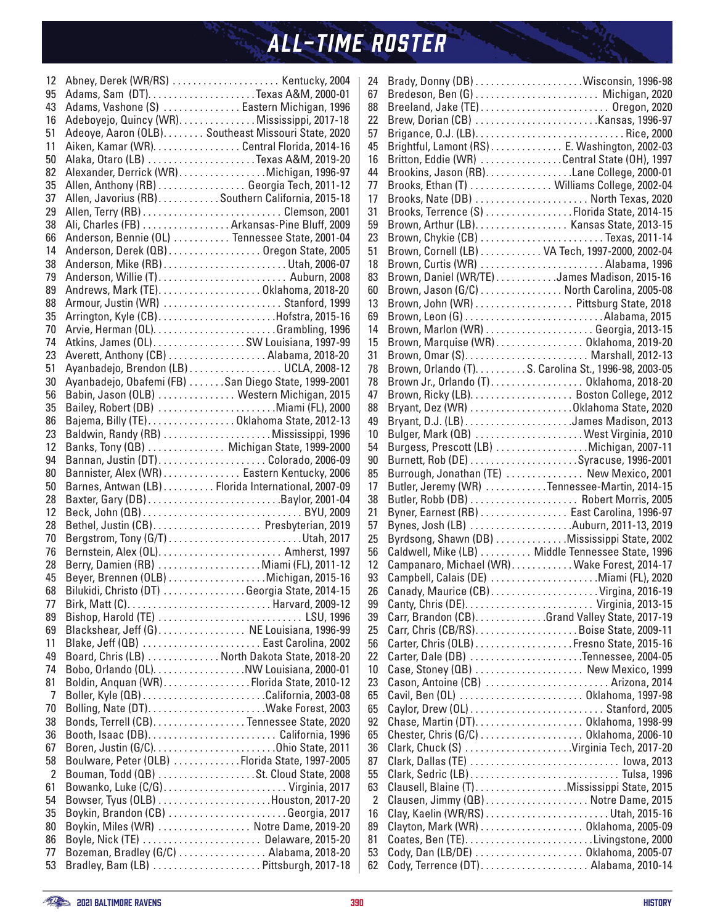| 12             |                                             | Abney, Derek (WR/RS)  Kentucky, 2004                                                     |
|----------------|---------------------------------------------|------------------------------------------------------------------------------------------|
| 95             |                                             |                                                                                          |
| 43             |                                             | Adams, Vashone (S)  Eastern Michigan, 1996                                               |
| 16             |                                             | Adeboyejo, Quincy (WR). Mississippi, 2017-18                                             |
| 51             |                                             | Adeoye, Aaron (OLB). Southeast Missouri State, 2020                                      |
| 11             |                                             | Aiken, Kamar (WR). Central Florida, 2014-16                                              |
| 50             |                                             | Alaka, Otaro (LB) Texas A&M, 2019-20                                                     |
| 82             |                                             | Alexander, Derrick (WR). Michigan, 1996-97                                               |
| 35             |                                             | Allen, Anthony (RB) Georgia Tech, 2011-12                                                |
| 37             |                                             | Allen, Javorius (RB)Southern California, 2015-18                                         |
| 29             |                                             |                                                                                          |
| 38             |                                             | Ali, Charles (FB) Arkansas-Pine Bluff, 2009                                              |
| 66             |                                             | Anderson, Bennie (OL)  Tennessee State, 2001-04                                          |
| 14             |                                             | Anderson, Derek (QB) Oregon State, 2005                                                  |
| 38             |                                             |                                                                                          |
| 79             |                                             |                                                                                          |
| 89             |                                             | Andrews, Mark (TE)Oklahoma, 2018-20                                                      |
| 88             |                                             | Armour, Justin (WR)  Stanford, 1999                                                      |
| 35             |                                             | Arrington, Kyle (CB)Hofstra, 2015-16                                                     |
| 70             |                                             |                                                                                          |
| 74             |                                             | Atkins, James (OL)SW Louisiana, 1997-99                                                  |
| 23             |                                             | Averett, Anthony (CB) Alabama, 2018-20                                                   |
| 51             |                                             | Ayanbadejo, Brendon (LB) UCLA, 2008-12                                                   |
| 30             |                                             | Ayanbadejo, Obafemi (FB) San Diego State, 1999-2001                                      |
| 56             |                                             | Babin, Jason (OLB)  Western Michigan, 2015                                               |
| 35             |                                             | Bailey, Robert (DB) Miami (FL), 2000                                                     |
| 86             |                                             | Bajema, Billy (TE)Oklahoma State, 2012-13                                                |
| 23             |                                             | Baldwin, Randy (RB) Mississippi, 1996                                                    |
| 12             |                                             | Banks, Tony (QB)  Michigan State, 1999-2000                                              |
| 94             |                                             |                                                                                          |
| 80             | Bannister, Alex (WR) Eastern Kentucky, 2006 |                                                                                          |
|                |                                             |                                                                                          |
| 50             |                                             |                                                                                          |
| 28             |                                             | Barnes, Antwan (LB) Florida International, 2007-09                                       |
| 12             |                                             |                                                                                          |
| 28             |                                             | Bethel, Justin (CB) Presbyterian, 2019                                                   |
| 70             |                                             |                                                                                          |
| 76             |                                             |                                                                                          |
| 28             |                                             |                                                                                          |
| 45             |                                             | Berry, Damien (RB) Miami (FL), 2011-12<br>Beyer, Brennen (OLB) Michigan, 2015-16         |
| 68             |                                             | Bilukidi, Christo (DT) Georgia State, 2014-15                                            |
| 77             |                                             |                                                                                          |
| 89             |                                             | Bishop, Harold (TE)  LSU, 1996                                                           |
| 69             |                                             | Blackshear, Jeff (G) NE Louisiana, 1996-99                                               |
| 11             |                                             | Blake, Jeff (QB)  East Carolina, 2002                                                    |
| 49             |                                             | Board, Chris (LB)  North Dakota State, 2018-20                                           |
| 74             |                                             |                                                                                          |
| 81             |                                             | Bobo, Orlando (OL). NW Louisiana, 2000-01<br>Boldin, Anquan (WR). Florida State, 2010-12 |
| $\overline{7}$ |                                             |                                                                                          |
| 70             |                                             |                                                                                          |
| 38             |                                             | Bonds, Terrell (CB). Tennessee State, 2020                                               |
| 36             |                                             |                                                                                          |
| 67             |                                             |                                                                                          |
| 58             |                                             |                                                                                          |
| $\overline{2}$ |                                             | Boulware, Peter (OLB) Florida State, 1997-2005                                           |
| 61             |                                             | Bouman, Todd (QB) St. Cloud State, 2008                                                  |
| 54             |                                             |                                                                                          |
| 35             |                                             | Boykin, Brandon (CB) Georgia, 2017                                                       |
| 80             |                                             | Boykin, Miles (WR)  Notre Dame, 2019-20                                                  |
| 86             |                                             | Boyle, Nick (TE)  Delaware, 2015-20                                                      |
| 77<br>53       |                                             | Bozeman, Bradley (G/C)  Alabama, 2018-20<br>Bradley, Bam (LB) Pittsburgh, 2017-18        |

| 24       |                                                                              |
|----------|------------------------------------------------------------------------------|
| 67       |                                                                              |
| 88       | Breeland, Jake (TE)  Oregon, 2020                                            |
| 22       |                                                                              |
| 57       |                                                                              |
| 45       | Brightful, Lamont (RS) E. Washington, 2002-03                                |
| 16       | Britton, Eddie (WR) Central State (OH), 1997                                 |
| 44       | Brookins, Jason (RB). Lane College, 2000-01                                  |
| 77       |                                                                              |
| 17       | Brooks, Ethan (T) Williams College, 2002-04                                  |
|          | Brooks, Nate (DB)  North Texas, 2020                                         |
| 31       | Brooks, Terrence (S) Florida State, 2014-15                                  |
| 59       | Brown, Arthur (LB). Kansas State, 2013-15                                    |
| 23       |                                                                              |
| 51       | Brown, Cornell (LB) VA Tech, 1997-2000, 2002-04                              |
| 18       | Brown, Curtis (WR)  Alabama, 1996                                            |
| 83       | Brown, Daniel (WR/TE) James Madison, 2015-16                                 |
| 60       | Brown, Jason (G/C) North Carolina, 2005-08                                   |
| 13       | Brown, John (WR) Pittsburg State, 2018                                       |
| 69       |                                                                              |
| 14       |                                                                              |
| 15       | Brown, Marquise (WR) Oklahoma, 2019-20                                       |
| 31       |                                                                              |
| 78       | Brown, Orlando (T). S. Carolina St., 1996-98, 2003-05                        |
| 78       | Brown Jr., Orlando (T) Oklahoma, 2018-20                                     |
| 47       |                                                                              |
| 88       | Bryant, Dez (WR) Oklahoma State, 2020                                        |
| 49       |                                                                              |
| 10       | Bulger, Mark (QB)  West Virginia, 2010                                       |
| 54       | Burgess, Prescott (LB) Michigan, 2007-11                                     |
| 90       | Burnett, Rob (DE) Syracuse, 1996-2001                                        |
| 85       | Burrough, Jonathan (TE)  New Mexico, 2001                                    |
|          |                                                                              |
| 17       |                                                                              |
|          | Butler, Jeremy (WR) Tennessee-Martin, 2014-15                                |
| 38       |                                                                              |
| 21       | Byner, Earnest (RB)  East Carolina, 1996-97                                  |
| 57       | Bynes, Josh (LB) Auburn, 2011-13, 2019                                       |
| 25       | Byrdsong, Shawn (DB) Mississippi State, 2002                                 |
| 56       | Caldwell, Mike (LB)  Middle Tennessee State, 1996                            |
| 12       | Campanaro, Michael (WR)Wake Forest, 2014-17                                  |
| 93       | Campbell, Calais (DE) Miami (FL), 2020                                       |
| 26       | Canady, Maurice (CB)Virgina, 2016-19                                         |
| 99       |                                                                              |
| 39       | Carr, Brandon (CB). Grand Valley State, 2017-19                              |
| 25       |                                                                              |
| 56       |                                                                              |
| 22       | Carter, Dale (DB) Tennessee, 2004-05                                         |
| 10       |                                                                              |
| 23       | Cason, Antoine (CB)  Arizona, 2014                                           |
| 65       | Cavil, Ben (OL)  Oklahoma, 1997-98                                           |
| 65       |                                                                              |
| 92       |                                                                              |
| 65       |                                                                              |
| 36       |                                                                              |
| 87       |                                                                              |
| 55       |                                                                              |
| 63       | Clausell, Blaine (T)Mississippi State, 2015                                  |
| 2        | Clausen, Jimmy (QB) Notre Dame, 2015                                         |
| 16       |                                                                              |
| 89       |                                                                              |
| 81       |                                                                              |
| 53<br>62 | Cody, Dan (LB/DE)  Oklahoma, 2005-07<br>Cody, Terrence (DT) Alabama, 2010-14 |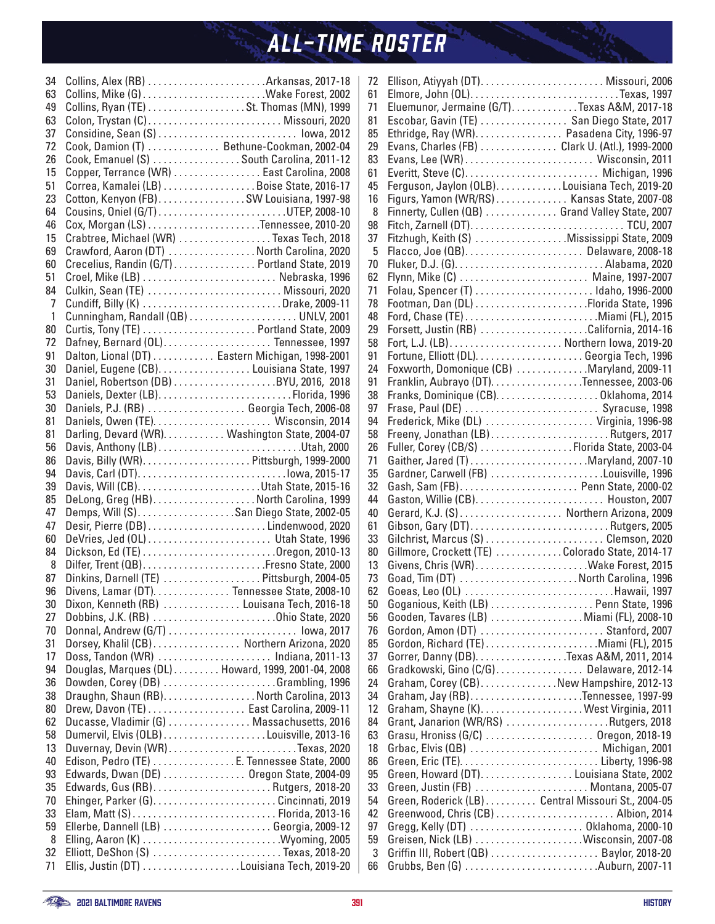| 34             | Collins, Alex (RB)  Arkansas, 2017-18             |  |
|----------------|---------------------------------------------------|--|
| 63             |                                                   |  |
| 49             | Collins, Ryan (TE) St. Thomas (MN), 1999          |  |
| 63             | Colon, Trystan (C) Missouri, 2020                 |  |
| 37             | Considine, Sean (S)  lowa, 2012                   |  |
| 72             | Cook, Damion (T) Bethune-Cookman, 2002-04         |  |
| 26             | Cook, Emanuel (S)  South Carolina, 2011-12        |  |
| 15             | Copper, Terrance (WR)  East Carolina, 2008        |  |
| 51             | Correa, Kamalei (LB) Boise State, 2016-17         |  |
| 23             | Cotton, Kenyon (FB)SW Louisiana, 1997-98          |  |
| 64             | Cousins, Oniel (G/T) UTEP, 2008-10                |  |
| 46             |                                                   |  |
| 15             | Crabtree, Michael (WR) Texas Tech, 2018           |  |
| 69             | Crawford, Aaron (DT) North Carolina, 2020         |  |
| 60             | Crecelius, Randin (G/T) Portland State, 2019      |  |
| 51             |                                                   |  |
| 84             | Culkin, Sean (TE)  Missouri, 2020                 |  |
| $\overline{7}$ |                                                   |  |
|                |                                                   |  |
| $\mathbf{1}$   |                                                   |  |
| 80             |                                                   |  |
| 72             | Dafney, Bernard (OL) Tennessee, 1997              |  |
| 91             | Dalton, Lional (DT) Eastern Michigan, 1998-2001   |  |
| 30             | Daniel, Eugene (CB). Louisiana State, 1997        |  |
| 31             |                                                   |  |
| 53             |                                                   |  |
| 30             | Daniels, P.J. (RB)  Georgia Tech, 2006-08         |  |
| 81             |                                                   |  |
| 81             | Darling, Devard (WR). Washington State, 2004-07   |  |
| 56             |                                                   |  |
| 86             |                                                   |  |
| 94             |                                                   |  |
| 39             |                                                   |  |
| 85             | DeLong, Greg (HB)North Carolina, 1999             |  |
| 47             |                                                   |  |
| 47             |                                                   |  |
| 60             | DeVries, Jed (OL)  Utah State, 1996               |  |
| 84             |                                                   |  |
| 8              | Dilfer, Trent (QB)Fresno State, 2000              |  |
| 87             | Dinkins, Darnell (TE) Pittsburgh, 2004-05         |  |
| 96             | Divens, Lamar (DT). Tennessee State, 2008-10      |  |
| 30             | Dixon, Kenneth (RB)  Louisana Tech, 2016-18       |  |
| 27             | Dobbins, J.K. (RB) Ohio State, 2020               |  |
| 70             | Donnal, Andrew (G/T)  lowa, 2017                  |  |
| 31             | Dorsey, Khalil (CB) Northern Arizona, 2020        |  |
| 17             | Doss, Tandon (WR)  Indiana, 2011-13               |  |
| 94             | Douglas, Marques (DL) Howard, 1999, 2001-04, 2008 |  |
| 36             | Dowden, Corey (DB) Grambling, 1996                |  |
| 38             | Draughn, Shaun (RB). North Carolina, 2013         |  |
|                |                                                   |  |
| 80             | Drew, Davon (TE) East Carolina, 2009-11           |  |
| 62             | Ducasse, Vladimir (G)  Massachusetts, 2016        |  |
| 58             |                                                   |  |
| 13             | Duvernay, Devin (WR)Texas, 2020                   |  |
| 40             | Edison, Pedro (TE) E. Tennessee State, 2000       |  |
| 93             | Edwards, Dwan (DE) 0regon State, 2004-09          |  |
| 35             | Edwards, Gus (RB)Rutgers, 2018-20                 |  |
| 70             |                                                   |  |
| 33             |                                                   |  |
| 59             |                                                   |  |
| 8              | Elling, Aaron (K) Wyoming, 2005                   |  |
| 32             | Elliott, DeShon (S)  Texas, 2018-20               |  |
| 71             | Ellis, Justin (DT) Louisiana Tech, 2019-20        |  |

| 72 |                                                    |
|----|----------------------------------------------------|
| 61 |                                                    |
| 71 | Eluemunor, Jermaine (G/T). Texas A&M, 2017-18      |
| 81 | Escobar, Gavin (TE)  San Diego State, 2017         |
| 85 | Ethridge, Ray (WR). Pasadena City, 1996-97         |
| 29 | Evans, Charles (FB)  Clark U. (Atl.), 1999-2000    |
| 83 |                                                    |
| 61 |                                                    |
| 45 | Ferguson, Jaylon (OLB). Louisiana Tech, 2019-20    |
| 16 | Figurs, Yamon (WR/RS) Kansas State, 2007-08        |
| 8  | Finnerty, Cullen (QB) Grand Valley State, 2007     |
| 98 |                                                    |
| 37 | Fitzhugh, Keith (S) Mississippi State, 2009        |
| 5  | Flacco, Joe (QB) Delaware, 2008-18                 |
| 70 |                                                    |
| 62 |                                                    |
| 71 |                                                    |
|    |                                                    |
| 78 |                                                    |
| 48 |                                                    |
| 29 | Forsett, Justin (RB) California, 2014-16           |
| 58 |                                                    |
| 91 |                                                    |
| 24 | Foxworth, Domonique (CB) Maryland, 2009-11         |
| 91 | Franklin, Aubrayo (DT). Tennessee, 2003-06         |
| 38 |                                                    |
| 97 | Frase, Paul (DE)  Syracuse, 1998                   |
| 94 | Frederick, Mike (DL)  Virginia, 1996-98            |
| 58 |                                                    |
| 26 | Fuller, Corey (CB/S) Florida State, 2003-04        |
| 71 | Gaither, Jared (T) Maryland, 2007-10               |
| 35 | Gardner, Carwell (FB) Louisville, 1996             |
| 32 |                                                    |
| 44 |                                                    |
| 40 | Gerard, K.J. (S) Northern Arizona, 2009            |
| 61 | Gibson, Gary (DT)Rutgers, 2005                     |
| 33 | Gilchrist, Marcus (S) Clemson, 2020                |
| 80 | Gillmore, Crockett (TE) Colorado State, 2014-17    |
| 13 | Givens, Chris (WR)Wake Forest, 2015                |
| 73 | Goad, Tim (DT) North Carolina, 1996                |
| 62 | Goeas, Leo (OL) Hawaii, 1997                       |
| 50 | Goganious, Keith (LB)  Penn State, 1996            |
| 56 | Gooden, Tavares (LB)  Miami (FL), 2008-10          |
| 76 | Gordon, Amon (DT)  Stanford, 2007                  |
| 85 |                                                    |
| 37 | Gorrer, Danny (DB). Texas A&M, 2011, 2014          |
| 66 | Gradkowski, Gino (C/G) Delaware, 2012-14           |
| 24 | Graham, Corey (CB)New Hampshire, 2012-13           |
| 34 |                                                    |
| 12 |                                                    |
| 84 | Grant, Janarion (WR/RS) Rutgers, 2018              |
| 63 | Grasu, Hroniss (G/C)  Oregon, 2018-19              |
| 18 | Grbac, Elvis (QB)  Michigan, 2001                  |
| 86 |                                                    |
|    |                                                    |
| 95 | Green, Howard (DT). Louisiana State, 2002          |
| 33 | Green, Justin (FB)  Montana, 2005-07               |
| 54 | Green, Roderick (LB) Central Missouri St., 2004-05 |
| 42 |                                                    |
| 97 | Gregg, Kelly (DT)  Oklahoma, 2000-10               |
| 59 | Greisen, Nick (LB) Wisconsin, 2007-08              |
| 3  | Griffin III, Robert (QB)  Baylor, 2018-20          |
| 66 | Grubbs, Ben (G) Auburn, 2007-11                    |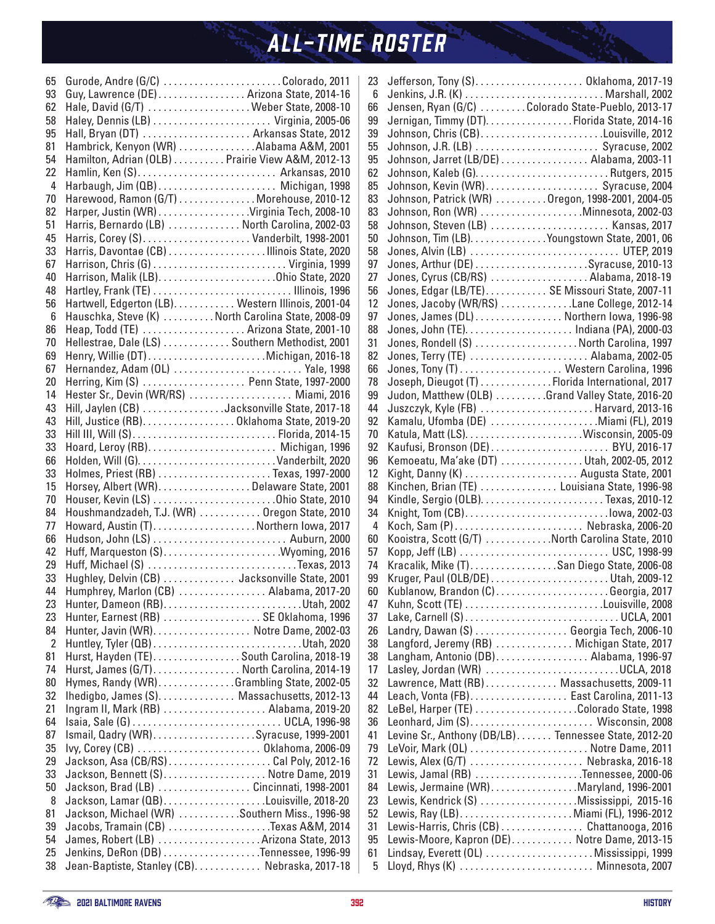| 65               | Gurode, Andre (G/C) Colorado, 2011                                          |  |
|------------------|-----------------------------------------------------------------------------|--|
| 93               | Guy, Lawrence (DE) Arizona State, 2014-16                                   |  |
| 62               | Hale, David (G/T)  Weber State, 2008-10                                     |  |
| 58               |                                                                             |  |
| 95               |                                                                             |  |
| 81               | Hambrick, Kenyon (WR) Alabama A&M, 2001                                     |  |
| 54               | Hamilton, Adrian (OLB) Prairie View A&M, 2012-13                            |  |
| 22               | Hamlin, Ken (S) Arkansas, 2010                                              |  |
| 4                | Harbaugh, Jim (QB) Michigan, 1998                                           |  |
| 70               | Harewood, Ramon (G/T) Morehouse, 2010-12                                    |  |
| 82               | Harper, Justin (WR) Virginia Tech, 2008-10                                  |  |
| 51               | Harris, Bernardo (LB)  North Carolina, 2002-03                              |  |
| 45               |                                                                             |  |
| 33               | Harris, Davontae (CB) Illinois State, 2020                                  |  |
| 67               |                                                                             |  |
| 40               |                                                                             |  |
| 48               |                                                                             |  |
| 56               | Hartwell, Edgerton (LB). Western Illinois, 2001-04                          |  |
| $\boldsymbol{6}$ | Hauschka, Steve (K) North Carolina State, 2008-09                           |  |
| 86               | Heap, Todd (TE)  Arizona State, 2001-10                                     |  |
| 70               | Hellestrae, Dale (LS)  Southern Methodist, 2001                             |  |
| 69               |                                                                             |  |
| 67               | Hernandez, Adam (OL)  Yale, 1998                                            |  |
| 20               | Herring, Kim (S)  Penn State, 1997-2000                                     |  |
| 14               | Hester Sr., Devin (WR/RS)  Miami, 2016                                      |  |
| 43               | Hill, Jaylen (CB) Jacksonville State, 2017-18                               |  |
| 43               | Hill, Justice (RB). Oklahoma State, 2019-20                                 |  |
| 33               | Hill III, Will (S) Florida, 2014-15                                         |  |
| 33               | Hoard, Leroy (RB) Michigan, 1996                                            |  |
| 66               |                                                                             |  |
| 33               | Holmes, Priest (RB) Texas, 1997-2000                                        |  |
| 15               | Horsey, Albert (WR)Delaware State, 2001                                     |  |
| 70               |                                                                             |  |
| 84               | Houshmandzadeh, T.J. (WR)  Oregon State, 2010                               |  |
| 77               | Howard, Austin (T). Northern Iowa, 2017                                     |  |
| 66               |                                                                             |  |
| 42               |                                                                             |  |
| 29               | Huff, Michael (S) Texas, 2013                                               |  |
| 33               | Hughley, Delvin (CB)  Jacksonville State, 2001                              |  |
| 44               | Humphrey, Marlon (CB)  Alabama, 2017-20                                     |  |
| 23               |                                                                             |  |
| 23               | Hunter, Earnest (RB)  SE Oklahoma, 1996                                     |  |
| 84               | Hunter, Javin (WR) Notre Dame, 2002-03                                      |  |
| $\overline{2}$   |                                                                             |  |
| 81<br>74         | Hurst, Hayden (TE). South Carolina, 2018-19                                 |  |
|                  | Hurst, James (G/T) North Carolina, 2014-19                                  |  |
| 80<br>32         | Hymes, Randy (WR)Grambling State, 2002-05                                   |  |
| 21               | Ihedigbo, James (S) Massachusetts, 2012-13                                  |  |
|                  | Ingram II, Mark (RB) Alabama, 2019-20                                       |  |
| 64<br>87         | Isaia, Sale (G)  UCLA, 1996-98                                              |  |
| 35               | Ismail, Qadry (WR)Syracuse, 1999-2001<br>Ivy, Corey (CB)  Oklahoma, 2006-09 |  |
| 29               |                                                                             |  |
| 33               |                                                                             |  |
|                  | Jackson, Bennett (S). Notre Dame, 2019                                      |  |
| 50<br>8          | Jackson, Brad (LB)  Cincinnati, 1998-2001                                   |  |
| 81               | Jackson, Michael (WR) Southern Miss., 1996-98                               |  |
| 39               | Jacobs, Tramain (CB) Texas A&M, 2014                                        |  |
| 54               |                                                                             |  |
| 25               |                                                                             |  |
| 38               | Jean-Baptiste, Stanley (CB). Nebraska, 2017-18                              |  |
|                  |                                                                             |  |

| 23 | Jefferson, Tony (S) Oklahoma, 2017-19                |
|----|------------------------------------------------------|
| 6  |                                                      |
| 66 | Jensen, Ryan (G/C) Colorado State-Pueblo, 2013-17    |
| 99 | Jernigan, Timmy (DT). Florida State, 2014-16         |
| 39 | Johnson, Chris (CB)Louisville, 2012                  |
| 55 | Johnson, J.R. (LB)  Syracuse, 2002                   |
| 95 | Johnson, Jarret (LB/DE) Alabama, 2003-11             |
| 62 |                                                      |
| 85 | Johnson, Kevin (WR) Syracuse, 2004                   |
| 83 | Johnson, Patrick (WR) Oregon, 1998-2001, 2004-05     |
| 83 | Johnson, Ron (WR) Minnesota, 2002-03                 |
| 58 | Johnson, Steven (LB)  Kansas, 2017                   |
| 50 | Johnson, Tim (LB). Youngstown State, 2001, 06        |
| 58 | Jones, Alvin (LB)  UTEP, 2019                        |
| 97 |                                                      |
| 27 | Jones, Cyrus (CB/RS)  Alabama, 2018-19               |
| 56 | Jones, Edgar (LB/TE) SE Missouri State, 2007-11      |
| 12 | Jones, Jacoby (WR/RS) Lane College, 2012-14          |
| 97 | Jones, James (DL) Northern Iowa, 1996-98             |
| 88 |                                                      |
| 31 | Jones, Rondell (S) North Carolina, 1997              |
| 82 | Jones, Terry (TE)  Alabama, 2002-05                  |
| 66 | Jones, Tony (T) Western Carolina, 1996               |
| 78 | Joseph, Dieugot (T)  Florida International, 2017     |
| 99 | Judon, Matthew (OLB) Grand Valley State, 2016-20     |
| 44 | Juszczyk, Kyle (FB) Harvard, 2013-16                 |
| 92 |                                                      |
|    | Kamalu, Ufomba (DE) Miami (FL), 2019                 |
| 70 |                                                      |
| 92 | Kaufusi, Bronson (DE)  BYU, 2016-17                  |
| 96 | Kemoeatu, Ma'ake (DT) Utah, 2002-05, 2012            |
| 12 |                                                      |
| 88 | Kinchen, Brian (TE)  Louisiana State, 1996-98        |
| 94 |                                                      |
| 34 |                                                      |
| 4  | Koch, Sam (P)  Nebraska, 2006-20                     |
| 60 | Kooistra, Scott (G/T) North Carolina State, 2010     |
| 57 | Kopp, Jeff (LB)  USC, 1998-99                        |
| 74 | Kracalik, Mike (T)San Diego State, 2006-08           |
| 99 |                                                      |
| 60 | Kublanow, Brandon (C)  Georgia, 2017                 |
| 47 |                                                      |
| 37 |                                                      |
| 26 | Landry, Dawan (S) Georgia Tech, 2006-10              |
| 38 | Langford, Jeremy (RB)  Michigan State, 2017          |
| 38 | Langham, Antonio (DB). Alabama, 1996-97              |
| 17 | Lasley, Jordan (WR) UCLA, 2018                       |
| 32 | Lawrence, Matt (RB) Massachusetts, 2009-11           |
| 44 | Leach, Vonta (FB) East Carolina, 2011-13             |
| 82 | LeBel, Harper (TE) Colorado State, 1998              |
| 36 |                                                      |
| 41 | Levine Sr., Anthony (DB/LB) Tennessee State, 2012-20 |
| 79 |                                                      |
| 72 | Lewis, Alex (G/T)  Nebraska, 2016-18                 |
| 31 | Lewis, Jamal (RB) Tennessee, 2000-06                 |
| 84 | Lewis, Jermaine (WR)Maryland, 1996-2001              |
| 23 | Lewis, Kendrick (S) Mississippi, 2015-16             |
| 52 |                                                      |
| 31 | Lewis-Harris, Chris (CB)  Chattanooga, 2016          |
| 95 | Lewis-Moore, Kapron (DE) Notre Dame, 2013-15         |
| 61 | Lindsay, Everett (OL)  Mississippi, 1999             |
| 5  | Lloyd, Rhys (K)  Minnesota, 2007                     |
|    |                                                      |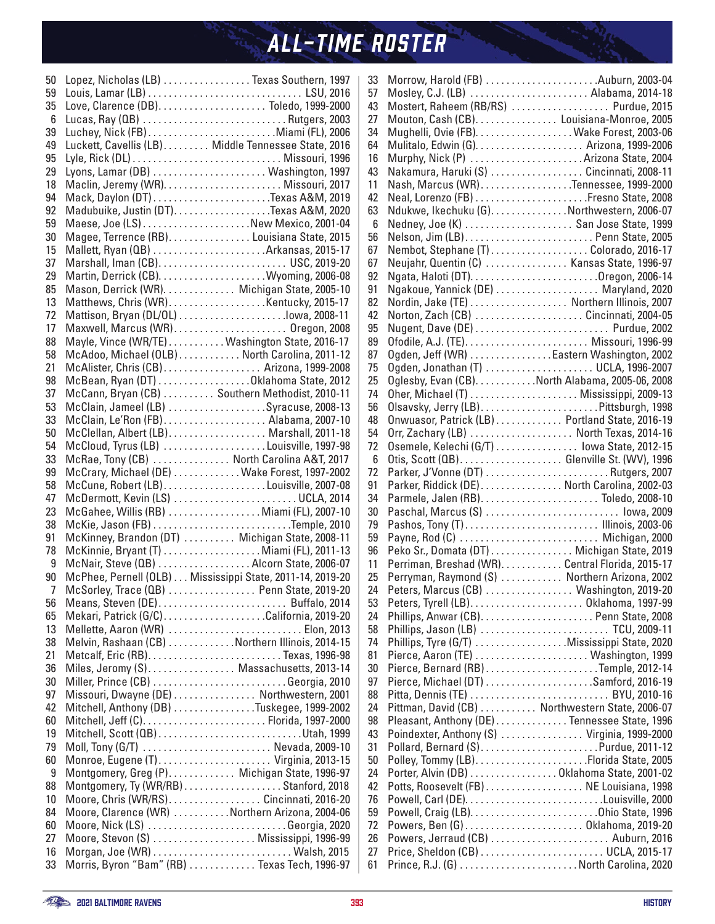| 50             | Lopez, Nicholas (LB) Texas Southern, 1997                 |
|----------------|-----------------------------------------------------------|
| 59             |                                                           |
| 35             |                                                           |
| 6              | Lucas, Ray (QB) Rutgers, 2003                             |
| 39             | Luchey, Nick (FB)Miami (FL), 2006                         |
| 49             | Luckett, Cavellis (LB) Middle Tennessee State, 2016       |
| 95             |                                                           |
| 29             |                                                           |
| 18             |                                                           |
| 94             | Mack, Daylon (DT)Texas A&M, 2019                          |
| 92             |                                                           |
| 59             | Maese, Joe (LS) New Mexico, 2001-04                       |
| 30             | Magee, Terrence (RB). Louisiana State, 2015               |
| 15             |                                                           |
| 37             |                                                           |
| 29             |                                                           |
| 85             | Mason, Derrick (WR). Michigan State, 2005-10              |
|                |                                                           |
| 13             |                                                           |
| 72             |                                                           |
| 17             |                                                           |
| 88             | Mayle, Vince (WR/TE) Washington State, 2016-17            |
| 58             | McAdoo, Michael (OLB) North Carolina, 2011-12             |
| 21             | McAlister, Chris (CB) Arizona, 1999-2008                  |
| 98             | McBean, Ryan (DT) Oklahoma State, 2012                    |
| 37             | McCann, Bryan (CB) Southern Methodist, 2010-11            |
| 53             | McClain, Jameel (LB) Syracuse, 2008-13                    |
| 33             | McClain, Le'Ron (FB) Alabama, 2007-10                     |
| 50             | McClellan, Albert (LB) Marshall, 2011-18                  |
| 54             | McCloud, Tyrus (LB) Louisville, 1997-98                   |
| 33             | McRae, Tony (CB)  North Carolina A&T, 2017                |
| 99             | McCrary, Michael (DE)  Wake Forest, 1997-2002             |
| 58             |                                                           |
| 47             | McDermott, Kevin (LS) UCLA, 2014                          |
| 23             | McGahee, Willis (RB)  Miami (FL), 2007-10                 |
| 38             |                                                           |
| 91             | McKinney, Brandon (DT)  Michigan State, 2008-11           |
| 78             | McKinnie, Bryant (T) Miami (FL), 2011-13                  |
| 9              | McNair, Steve (QB) Alcorn State, 2006-07                  |
| 90             | McPhee, Pernell (OLB) Mississippi State, 2011-14, 2019-20 |
| $\overline{7}$ | McSorley, Trace (QB)  Penn State, 2019-20                 |
| 56             | Means, Steven (DE) Buffalo, 2014                          |
| 65             | Mekari, Patrick (G/C)California, 2019-20                  |
| 13             | Mellette, Aaron (WR)  Elon, 2013                          |
| 38             | Melvin, Rashaan (CB) Northern Illinois, 2014-15           |
| 21             | Metcalf, Eric (RB)Texas, 1996-98                          |
| 36             | Miles, Jeromy (S) Massachusetts, 2013-14                  |
| 30             |                                                           |
|                | Miller, Prince (CB)  Georgia, 2010                        |
| 97             | Missouri, Dwayne (DE) Northwestern, 2001                  |
| 42             | Mitchell, Anthony (DB) Tuskegee, 1999-2002                |
| 60             | Mitchell, Jeff (C)Florida, 1997-2000                      |
| 19             | Mitchell, Scott (QB)Utah, 1999                            |
| 79             | Moll, Tony (G/T)  Nevada, 2009-10                         |
| 60             | Monroe, Eugene (T) Virginia, 2013-15                      |
| 9              | Montgomery, Greg (P) Michigan State, 1996-97              |
| 88             | Montgomery, Ty (WR/RB)Stanford, 2018                      |
| 10             | Moore, Chris (WR/RS)Cincinnati, 2016-20                   |
| 84             | Moore, Clarence (WR) Northern Arizona, 2004-06            |
| 60             | Moore, Nick (LS) Georgia, 2020                            |
| 27             | Moore, Stevon (S)  Mississippi, 1996-99                   |
| 16             |                                                           |
| 33             | Morris, Byron "Bam" (RB)  Texas Tech, 1996-97             |
|                |                                                           |

| 33       | Morrow, Harold (FB) Auburn, 2003-04              |
|----------|--------------------------------------------------|
| 57       | Mosley, C.J. (LB)  Alabama, 2014-18              |
| 43       | Mostert, Raheem (RB/RS)  Purdue, 2015            |
| 27       | Mouton, Cash (CB).  Louisiana-Monroe, 2005       |
| 34       | Mughelli, Ovie (FB). Wake Forest, 2003-06        |
| 64       |                                                  |
| 16       | Murphy, Nick (P)  Arizona State, 2004            |
| 43       | Nakamura, Haruki (S)  Cincinnati, 2008-11        |
| 11       | Nash, Marcus (WR)Tennessee, 1999-2000            |
| 42       |                                                  |
| 63       | Ndukwe, Ikechuku (G). Northwestern, 2006-07      |
| 6        | Nedney, Joe (K)  San Jose State, 1999            |
| 56       | Nelson, Jim (LB) Penn State, 2005                |
| 67       | Nembot, Stephane (T)Colorado, 2016-17            |
| 67       | Neujahr, Quentin (C)  Kansas State, 1996-97      |
| 92       |                                                  |
| 91       | Ngakoue, Yannick (DE)  Maryland, 2020            |
| 82       | Nordin, Jake (TE)  Northern Illinois, 2007       |
| 42       | Norton, Zach (CB) Cincinnati, 2004-05            |
|          |                                                  |
| 95       |                                                  |
| 89       |                                                  |
| 87       | Ogden, Jeff (WR) Eastern Washington, 2002        |
| 75       | Ogden, Jonathan (T)  UCLA, 1996-2007             |
| 25       | Oglesby, Evan (CB). North Alabama, 2005-06, 2008 |
| 74       | Oher, Michael (T)  Mississippi, 2009-13          |
| 56       | Olsavsky, Jerry (LB)Pittsburgh, 1998             |
| 48       | Onwuasor, Patrick (LB) Portland State, 2016-19   |
| 54       | Orr, Zachary (LB)  North Texas, 2014-16          |
| 72       | Osemele, Kelechi (G/T)  lowa State, 2012-15      |
| 6        | Otis, Scott (QB) Glenville St. (WV), 1996        |
| 72       |                                                  |
| 91       | Parker, Riddick (DE) North Carolina, 2002-03     |
| 34       |                                                  |
| 30       | Paschal, Marcus (S)  lowa, 2009                  |
| 79       | Pashos, Tony (T) Illinois, 2003-06               |
| 59       | Payne, Rod (C)  Michigan, 2000                   |
| 96       | Peko Sr., Domata (DT) Michigan State, 2019       |
| 11       | Perriman, Breshad (WR)Central Florida, 2015-17   |
| 25       | Perryman, Raymond (S)  Northern Arizona, 2002    |
| 24       | Peters, Marcus (CB)  Washington, 2019-20         |
| 53       |                                                  |
| 24       |                                                  |
| 58       | Phillips, Jason (LB)  TCU, 2009-11               |
| 74       | Phillips, Tyre (G/T) Mississippi State, 2020     |
| 81       | Pierce, Aaron (TE)  Washington, 1999             |
| 30       |                                                  |
| 97       |                                                  |
| 88       | Pitta, Dennis (TE)  BYU, 2010-16                 |
| 24       | Pittman, David (CB)  Northwestern State, 2006-07 |
| 98       | Pleasant, Anthony (DE)Tennessee State, 1996      |
| 43       | Poindexter, Anthony (S)  Virginia, 1999-2000     |
| 31       | Pollard, Bernard (S)Purdue, 2011-12              |
|          |                                                  |
| 50       |                                                  |
| 24       | Porter, Alvin (DB) Oklahoma State, 2001-02       |
| 42       | Potts, Roosevelt (FB) NE Louisiana, 1998         |
| 76       |                                                  |
| 59       |                                                  |
|          |                                                  |
| 72       | Powers, Ben (G) Oklahoma, 2019-20                |
| 26       | Powers, Jerraud (CB)  Auburn, 2016               |
| 27<br>61 |                                                  |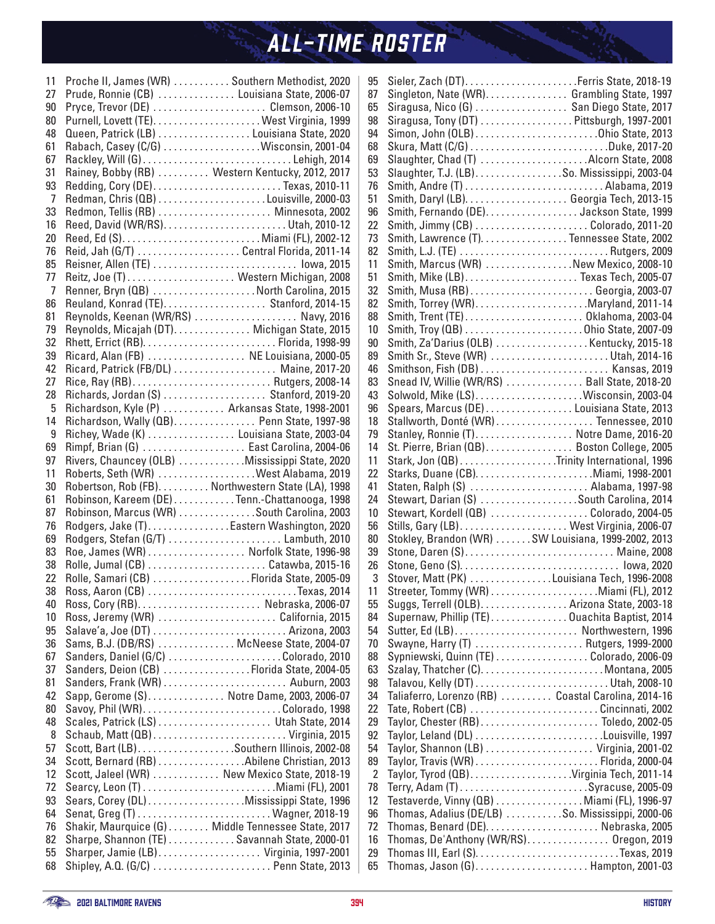| 11                   | Proche II, James (WR)  Southern Methodist, 2020    |
|----------------------|----------------------------------------------------|
| 27                   | Prude, Ronnie (CB)  Louisiana State, 2006-07       |
| 90                   |                                                    |
| 80                   |                                                    |
| 48                   | Queen, Patrick (LB)  Louisiana State, 2020         |
| 61                   | Rabach, Casey (C/G) Wisconsin, 2001-04             |
| 67                   | Rackley, Will (G)Lehigh, 2014                      |
| 31                   | Rainey, Bobby (RB)  Western Kentucky, 2012, 2017   |
| 93                   | Redding, Cory (DE)Texas, 2010-11                   |
| $\overline{7}$       |                                                    |
| 33                   | Redmon, Tellis (RB)  Minnesota, 2002               |
| 16                   |                                                    |
| 20                   |                                                    |
| 76                   | Reid, Jah (G/T)  Central Florida, 2011-14          |
| 85                   | Reisner, Allen (TE)  lowa, 2015                    |
|                      |                                                    |
| 77<br>$\overline{7}$ | Reitz, Joe (T)  Western Michigan, 2008             |
|                      | Renner, Bryn (QB) North Carolina, 2015             |
| 86                   |                                                    |
| 81                   | Reynolds, Keenan (WR/RS)  Navy, 2016               |
| 79                   | Reynolds, Micajah (DT). Michigan State, 2015       |
| 32                   |                                                    |
| 39                   | Ricard, Alan (FB)  NE Louisiana, 2000-05           |
| 42                   | Ricard, Patrick (FB/DL)  Maine, 2017-20            |
| 27                   |                                                    |
| 28                   | Richards, Jordan (S)  Stanford, 2019-20            |
| 5                    | Richardson, Kyle (P)  Arkansas State, 1998-2001    |
| 14                   | Richardson, Wally (QB). Penn State, 1997-98        |
| 9                    | Richey, Wade (K)  Louisiana State, 2003-04         |
| 69                   | Rimpf, Brian (G)  East Carolina, 2004-06           |
| 97                   | Rivers, Chauncey (OLB) Mississippi State, 2020     |
| 11                   | Roberts, Seth (WR) West Alabama, 2019              |
| 30                   | Robertson, Rob (FB) Northwestern State (LA), 1998  |
| 61                   | Robinson, Kareem (DE) Tenn.-Chattanooga, 1998      |
| 87                   | Robinson, Marcus (WR) South Carolina, 2003         |
| 76                   | Rodgers, Jake (T)Eastern Washington, 2020          |
| 69                   | Rodgers, Stefan (G/T)  Lambuth, 2010               |
| 83                   | Roe, James (WR)  Norfolk State, 1996-98            |
| 38                   |                                                    |
| 22                   | Rolle, Samari (CB) Florida State, 2005-09          |
| 38                   | Ross, Aaron (CB) Texas, 2014                       |
| 40                   |                                                    |
| 10                   | Ross, Jeremy (WR) California, 2015                 |
| 95                   | Salave'a, Joe (DT)  Arizona, 2003                  |
| 36                   | Sams, B.J. (DB/RS)  McNeese State, 2004-07         |
|                      |                                                    |
| 67                   | Sanders, Daniel (G/C) Colorado, 2010               |
| 37                   | Sanders, Deion (CB) Florida State, 2004-05         |
| 81                   |                                                    |
| 42                   | Sapp, Gerome (S) Notre Dame, 2003, 2006-07         |
| 80                   |                                                    |
| 48                   | Scales, Patrick (LS)  Utah State, 2014             |
| 8                    |                                                    |
| 57                   |                                                    |
| 34                   | Scott, Bernard (RB) Abilene Christian, 2013        |
| 12                   | Scott, Jaleel (WR)  New Mexico State, 2018-19      |
| 72                   |                                                    |
| 93                   | Sears, Corey (DL) Mississippi State, 1996          |
| 64                   |                                                    |
| 76                   | Shakir, Maurquice (G) Middle Tennessee State, 2017 |
| 82                   | Sharpe, Shannon (TE) Savannah State, 2000-01       |
| 55                   | Sharper, Jamie (LB) Virginia, 1997-2001            |
| 68                   | Shipley, A.Q. (G/C)  Penn State, 2013              |

| 95             |                                                                                 |
|----------------|---------------------------------------------------------------------------------|
| 87             | Singleton, Nate (WR). Grambling State, 1997                                     |
| 65             | Siragusa, Nico (G)  San Diego State, 2017                                       |
| 98             | Siragusa, Tony (DT) Pittsburgh, 1997-2001                                       |
|                |                                                                                 |
| 94             |                                                                                 |
| 68             | Skura, Matt (C/G) Duke, 2017-20                                                 |
| 69             | Slaughter, Chad (T) Alcorn State, 2008                                          |
| 53             | Slaughter, T.J. (LB). So. Mississippi, 2003-04                                  |
| 76             |                                                                                 |
| 51             |                                                                                 |
| 96             | Smith, Fernando (DE). Jackson State, 1999                                       |
| 22             |                                                                                 |
| 73             | Smith, Lawrence (T). Tennessee State, 2002                                      |
| 82             |                                                                                 |
| 11             | Smith, Marcus (WR) New Mexico, 2008-10                                          |
| 51             | Smith, Mike (LB) Texas Tech, 2005-07                                            |
| 32             | Smith, Musa (RB)  Georgia, 2003-07                                              |
| 82             |                                                                                 |
| 88             |                                                                                 |
| 10             | Smith, Troy (QB) Ohio State, 2007-09                                            |
| 90             | Smith, Za'Darius (OLB) Kentucky, 2015-18                                        |
| 89             | Smith Sr., Steve (WR) Utah, 2014-16                                             |
| 46             | Smithson, Fish (DB)  Kansas, 2019                                               |
| 83             | Snead IV, Willie (WR/RS)  Ball State, 2018-20                                   |
| 43             |                                                                                 |
| 96             | Spears, Marcus (DE)Louisiana State, 2013                                        |
|                |                                                                                 |
| 18             | Stallworth, Donté (WR)  Tennessee, 2010                                         |
| 79             | Stanley, Ronnie (T). Notre Dame, 2016-20                                        |
| 14             | St. Pierre, Brian (QB). Boston College, 2005                                    |
| 11             | Stark, Jon (QB) Trinity International, 1996                                     |
| 22             |                                                                                 |
| 41             | Staten, Ralph (S)  Alabama, 1997-98                                             |
| 24             | Stewart, Darian (S) South Carolina, 2014                                        |
| 10             | Stewart, Kordell (QB) Colorado, 2004-05                                         |
| 56             |                                                                                 |
| 80             | Stokley, Brandon (WR) SW Louisiana, 1999-2002, 2013                             |
| 39             | Stone, Daren (S) Maine, 2008                                                    |
| 26             |                                                                                 |
| 3              | Stover, Matt (PK) Louisiana Tech, 1996-2008                                     |
| 11             |                                                                                 |
| 55             | Suggs, Terrell (OLB). Arizona State, 2003-18                                    |
| 84             | Supernaw, Phillip (TE)Ouachita Baptist, 2014                                    |
| 54             |                                                                                 |
| 70             | Swayne, Harry (T)  Rutgers, 1999-2000                                           |
| 88             | Sypniewski, Quinn (TE) Colorado, 2006-09                                        |
| 63             | Szalay, Thatcher (C)Montana, 2005                                               |
| 98             |                                                                                 |
| 34             | Taliaferro, Lorenzo (RB)  Coastal Carolina, 2014-16                             |
| 22             | Tate, Robert (CB) Cincinnati, 2002                                              |
| 29             |                                                                                 |
| 92             |                                                                                 |
| 54             |                                                                                 |
| 89             |                                                                                 |
| $\overline{2}$ | Taylor, Tyrod (QB)Virginia Tech, 2011-14                                        |
| 78             |                                                                                 |
| 12             | Terry, Adam (T) Syracuse, 2005-09<br>Testaverde, Vinny (QB) Miami (FL), 1996-97 |
|                |                                                                                 |
| 96             | Thomas, Adalius (DE/LB) So. Mississippi, 2000-06                                |
| 72             | Thomas, Benard (DE).  Nebraska, 2005                                            |
|                |                                                                                 |
| 16             | Thomas, De'Anthony (WR/RS) Oregon, 2019                                         |
| 29<br>65       | Thomas, Jason (G)Hampton, 2001-03                                               |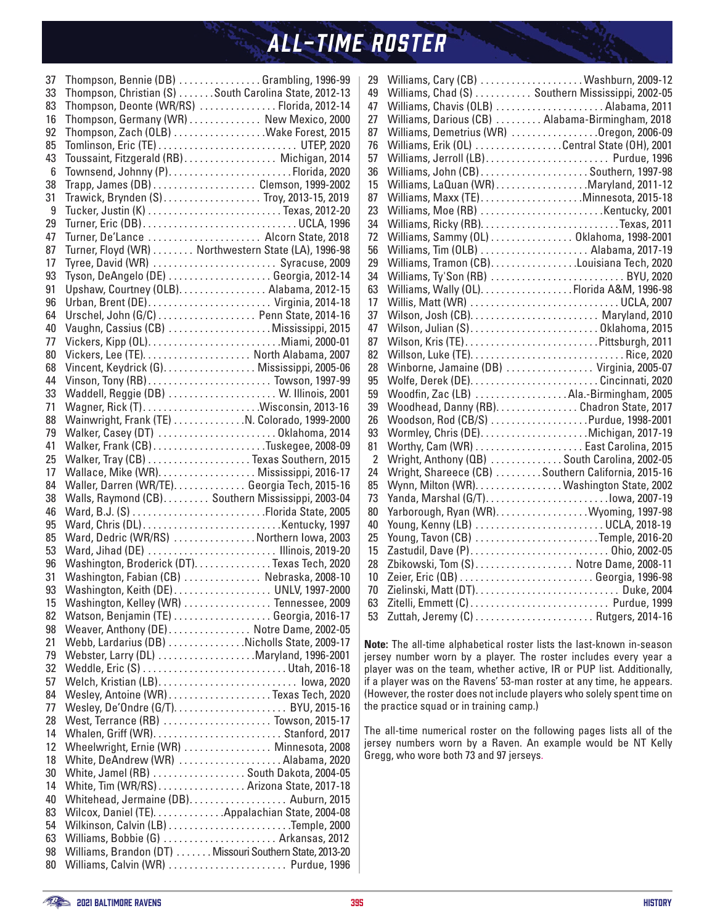| 37       | Thompson, Bennie (DB) Grambling, 1996-99                                                        |
|----------|-------------------------------------------------------------------------------------------------|
| 33       | Thompson, Christian (S) South Carolina State, 2012-13                                           |
| 83       | Thompson, Deonte (WR/RS)  Florida, 2012-14                                                      |
| 16       | Thompson, Germany (WR) New Mexico, 2000                                                         |
| 92       | Thompson, Zach (OLB) Wake Forest, 2015                                                          |
| 85       |                                                                                                 |
| 43       | Toussaint, Fitzgerald (RB) Michigan, 2014                                                       |
| 6        | Townsend, Johnny (P)Florida, 2020                                                               |
| 38       | Trapp, James (DB) Clemson, 1999-2002                                                            |
| 31       | Trawick, Brynden (S) Troy, 2013-15, 2019                                                        |
| 9        |                                                                                                 |
| 29       | Turner, Eric (DB)UCLA, 1996                                                                     |
| 47       | Turner, De'Lance  Alcorn State, 2018                                                            |
| 87       | Turner, Floyd (WR)  Northwestern State (LA), 1996-98                                            |
| 17       | Tyree, David (WR)  Syracuse, 2009                                                               |
| 93       | Tyson, DeAngelo (DE) Georgia, 2012-14                                                           |
| 91       | Upshaw, Courtney (OLB). Alabama, 2012-15                                                        |
| 96       | Urban, Brent (DE) Virginia, 2014-18                                                             |
| 64       | Urschel, John (G/C) Penn State, 2014-16                                                         |
| 40       | Vaughn, Cassius (CB) Mississippi, 2015                                                          |
| 77       |                                                                                                 |
| 80       | Vickers, Lee (TE).  North Alabama, 2007                                                         |
| 68       | Vincent, Keydrick (G). Mississippi, 2005-06                                                     |
| 44       |                                                                                                 |
| 33       | Waddell, Reggie (DB)  W. Illinois, 2001                                                         |
| 71       |                                                                                                 |
| 88       | Wainwright, Frank (TE) N. Colorado, 1999-2000                                                   |
| 79       | Walker, Casey (DT) Oklahoma, 2014                                                               |
| 41       |                                                                                                 |
| 25       | Walker, Tray (CB) Texas Southern, 2015                                                          |
| 17       | Wallace, Mike (WR). Mississippi, 2016-17                                                        |
| 84       | Waller, Darren (WR/TE). Georgia Tech, 2015-16                                                   |
| 38       | Walls, Raymond (CB). Southern Mississippi, 2003-04                                              |
| 46       |                                                                                                 |
| 95       |                                                                                                 |
|          |                                                                                                 |
| 85       |                                                                                                 |
|          | Ward, Dedric (WR/RS) Northern Iowa, 2003                                                        |
| 53<br>96 | Ward, Jihad (DE)  Illinois, 2019-20                                                             |
| 31       | Washington, Broderick (DT). Texas Tech, 2020                                                    |
| 93       | Washington, Fabian (CB)  Nebraska, 2008-10                                                      |
|          | Washington, Keith (DE) UNLV, 1997-2000                                                          |
| 15<br>82 | Washington, Kelley (WR)  Tennessee, 2009                                                        |
|          | Watson, Benjamin (TE) Georgia, 2016-17                                                          |
| 98<br>21 | Weaver, Anthony (DE) Notre Dame, 2002-05                                                        |
|          | Webb, Lardarius (DB) Nicholls State, 2009-17                                                    |
| 79       | Webster, Larry (DL) Maryland, 1996-2001                                                         |
| 32       | Weddle, Eric (S) Utah, 2016-18                                                                  |
| 57       | Welch, Kristian (LB) lowa, 2020                                                                 |
| 84       | Wesley, Antoine (WR) Texas Tech, 2020                                                           |
| 77       |                                                                                                 |
| 28       | West, Terrance (RB)  Towson, 2015-17                                                            |
| 14       |                                                                                                 |
| 12       | Wheelwright, Ernie (WR)  Minnesota, 2008                                                        |
| 18       | White, DeAndrew (WR) Alabama, 2020                                                              |
| 30<br>14 | White, Jamel (RB) South Dakota, 2004-05                                                         |
| 40       | White, Tim (WR/RS) Arizona State, 2017-18                                                       |
| 83       | Whitehead, Jermaine (DB). Auburn, 2015                                                          |
|          | Wilcox, Daniel (TE). Appalachian State, 2004-08                                                 |
| 54       |                                                                                                 |
| 63<br>98 | Williams, Bobbie (G)  Arkansas, 2012<br>Williams, Brandon (DT) Missouri Southern State, 2013-20 |

| 29             | Williams, Cary (CB) Washburn, 2009-12              |
|----------------|----------------------------------------------------|
| 49             | Williams, Chad (S)  Southern Mississippi, 2002-05  |
| 47             | Williams, Chavis (OLB) Alabama, 2011               |
| 27             | Williams, Darious (CB)  Alabama-Birmingham, 2018   |
| 87             | Williams, Demetrius (WR) Oregon, 2006-09           |
| 76             | Williams, Erik (OL) Central State (OH), 2001       |
| 57             | Williams, Jerroll (LB) Purdue, 1996                |
| 36             | Williams, John (CB)Southern, 1997-98               |
| 15             | Williams, LaQuan (WR) Maryland, 2011-12            |
| 87             | Williams, Maxx (TE)Minnesota, 2015-18              |
| 23             | Williams, Moe (RB) Kentucky, 2001                  |
| 34             |                                                    |
| 72             | Williams, Sammy (OL) Oklahoma, 1998-2001           |
| 56             | Williams, Tim (OLB)  Alabama, 2017-19              |
| 29             | Williams, Tramon (CB). Louisiana Tech, 2020        |
| 34             | Williams, Ty'Son (RB)  BYU, 2020                   |
| 63             | Williams, Wally (OL). Florida A&M, 1996-98         |
| 17             | Willis, Matt (WR) UCLA, 2007                       |
| 37             |                                                    |
| 47             |                                                    |
| 87             |                                                    |
| 82             |                                                    |
| 28             | Winborne, Jamaine (DB)  Virginia, 2005-07          |
| 95             |                                                    |
| 59             | Woodfin, Zac (LB) Ala.-Birmingham, 2005            |
| 39             | Woodhead, Danny (RB). Chadron State, 2017          |
| 26             | Woodson, Rod (CB/S) Purdue, 1998-2001              |
| 93             |                                                    |
| 81             |                                                    |
| $\overline{2}$ | Wright, Anthony (QB)  South Carolina, 2002-05      |
| 24             | Wright, Shareece (CB) Southern California, 2015-16 |
| 85             | Wynn, Milton (WR). Washington State, 2002          |
| 73             | Yanda, Marshal (G/T)lowa, 2007-19                  |
| 80             | Yarborough, Ryan (WR). Wyoming, 1997-98            |
| 40             | Young, Kenny (LB) UCLA, 2018-19                    |
| 25             | Young, Tavon (CB) Temple, 2016-20                  |
| 15             |                                                    |
| 28             | Zbikowski, Tom (S)  Notre Dame, 2008-11            |
| 10             |                                                    |
| 70             | Zielinski, Matt (DT) Duke, 2004                    |
| 63             | Zitelli, Emmett (C)  Purdue, 1999                  |
| 53             |                                                    |

**Note:** The all-time alphabetical roster lists the last-known in-season jersey number worn by a player. The roster includes every year a player was on the team, whether active, IR or PUP list. Additionally, if a player was on the Ravens' 53-man roster at any time, he appears. (However, the roster does not include players who solely spent time on the practice squad or in training camp.)

The all-time numerical roster on the following pages lists all of the jersey numbers worn by a Raven. An example would be NT Kelly Gregg, who wore both 73 and 97 jerseys.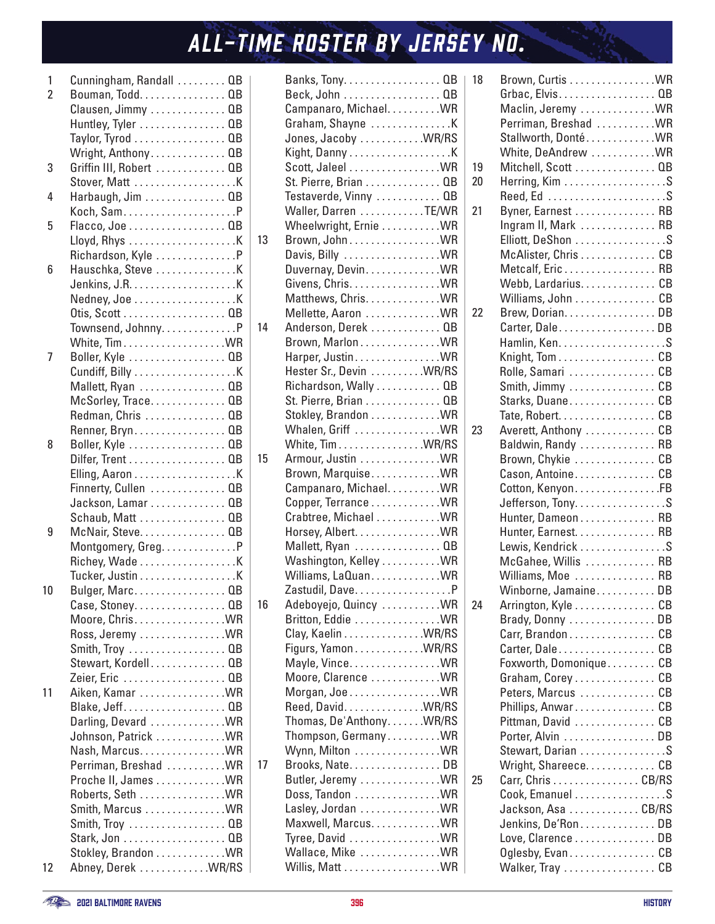| 1              | Cunningham, Randall  QB                        |  |
|----------------|------------------------------------------------|--|
| $\overline{2}$ | Bouman, Todd. QB                               |  |
|                | Clausen, Jimmy  QB                             |  |
|                | Huntley, Tyler  QB                             |  |
|                | Taylor, Tyrod QB                               |  |
|                | Wright, Anthony QB                             |  |
| 3              | Griffin III, Robert  QB                        |  |
|                |                                                |  |
| 4              | $Harbaugh, Jim \ldots \ldots \ldots \ldots QB$ |  |
|                |                                                |  |
| 5              | Flacco, Joe QB                                 |  |
|                |                                                |  |
|                | Richardson, Kyle P                             |  |
| 6              |                                                |  |
|                |                                                |  |
|                |                                                |  |
|                | Nedney, Joe K                                  |  |
|                |                                                |  |
|                | Townsend, JohnnyP                              |  |
|                |                                                |  |
| 7              | Boller, Kyle  QB                               |  |
|                |                                                |  |
|                | Mallett, Ryan  QB                              |  |
|                | McSorley, Trace QB                             |  |
|                | Redman, Chris  QB                              |  |
|                | Renner, Bryn. QB                               |  |
| 8              | Boller, Kyle  QB                               |  |
|                | Dilfer, Trent QB                               |  |
|                |                                                |  |
|                | Finnerty, Cullen  QB                           |  |
|                | Jackson, Lamar QB                              |  |
|                |                                                |  |
| 9              | Schaub, Matt  QB                               |  |
|                | McNair, Steve. 0B                              |  |
|                | Montgomery, Greg. P                            |  |
|                |                                                |  |
|                | Tucker, Justin K                               |  |
| 10             | Bulger, Marc. QB                               |  |
|                | Case, Stoney. QB                               |  |
|                | Moore, Chris. WR                               |  |
|                | Ross, Jeremy WR                                |  |
|                | Smith, Troy  QB                                |  |
|                | Stewart, Kordell QB                            |  |
|                | Zeier, Eric 0B                                 |  |
| 11             | Aiken, Kamar WR                                |  |
|                | Blake, Jeff QB                                 |  |
|                | Darling, Devard WR                             |  |
|                | Johnson, Patrick WR                            |  |
|                | Nash, Marcus. WR                               |  |
|                | Perriman, Breshad  WR                          |  |
|                | Proche II, James WR                            |  |
|                | Roberts, Seth WR                               |  |
|                | Smith, Marcus WR                               |  |
|                | Smith, Troy  QB                                |  |
|                |                                                |  |
|                | Stark, Jon 0B                                  |  |
| 12             | Stokley, Brandon WR<br>Abney, Derek WR/RS      |  |
|                |                                                |  |

|    | Banks, Tony. 0B         |  |
|----|-------------------------|--|
|    | Beck, John 0B           |  |
|    | Campanaro, Michael WR   |  |
|    |                         |  |
|    | Jones, Jacoby WR/RS     |  |
|    |                         |  |
|    | Scott, Jaleel WR        |  |
|    | St. Pierre, Brian 0B    |  |
|    | Testaverde, Vinny  QB   |  |
|    | Waller, Darren TE/WR    |  |
|    | Wheelwright, Ernie  WR  |  |
| 13 |                         |  |
|    | Brown, John. WR         |  |
|    | Davis, Billy  WR        |  |
|    | Duvernay, Devin. WR     |  |
|    | Givens, Chris. WR       |  |
|    | Matthews, Chris. WR     |  |
|    | Mellette, Aaron  WR     |  |
| 14 | Anderson, Derek  QB     |  |
|    | Brown, MarlonWR         |  |
|    | Harper, Justin WR       |  |
|    | Hester Sr., Devin WR/RS |  |
|    | Richardson, Wally  QB   |  |
|    | St. Pierre, Brian 0B    |  |
|    | Stokley, Brandon WR     |  |
|    | Whalen, Griff  WR       |  |
|    | White, Tim WR/RS        |  |
| 15 | Armour, Justin WR       |  |
|    | Brown, MarquiseWR       |  |
|    | Campanaro, Michael WR   |  |
|    | Copper, Terrance WR     |  |
|    | Crabtree, Michael WR    |  |
|    | Horsey, Albert. WR      |  |
|    |                         |  |
|    | Mallett, Ryan  QB       |  |
|    | Washington, Kelley  WR  |  |
|    | Williams, LaQuanWR      |  |
|    | Zastudil, Dave.<br>. P  |  |
| 16 | Adeboyejo, Quincy WR    |  |
|    | Britton, Eddie WR       |  |
|    | Clay, Kaelin WR/RS      |  |
|    | Figurs, YamonWR/RS      |  |
|    | Mayle, Vince. WR        |  |
|    | Moore, Clarence WR      |  |
|    | Morgan, Joe WR          |  |
|    | Reed, David. WR/RS      |  |
|    | Thomas, De'AnthonyWR/RS |  |
|    | Thompson, Germany WR    |  |
|    | Wynn, Milton WR         |  |
| 17 | Brooks, NateDB          |  |
|    | Butler, Jeremy  WR      |  |
|    | Doss, Tandon WR         |  |
|    | Lasley, Jordan WR       |  |
|    | Maxwell, Marcus. WR     |  |
|    | Tyree, David WR         |  |
|    | Wallace, Mike WR        |  |
|    |                         |  |
|    |                         |  |

| 18 | Brown, Curtis WR       |  |
|----|------------------------|--|
|    | Grbac, Elvis. QB       |  |
|    | Maclin, Jeremy WR      |  |
|    |                        |  |
|    | Perriman, Breshad  WR  |  |
|    | Stallworth, DontéWR    |  |
|    | White, DeAndrew WR     |  |
| 19 | Mitchell, Scott  QB    |  |
| 20 | Herring, $Kim$         |  |
|    | Reed, Ed S             |  |
|    |                        |  |
| 21 | Byner, Earnest  RB     |  |
|    | Ingram II, Mark  RB    |  |
|    | Elliott, DeShon S      |  |
|    | McAlister, Chris CB    |  |
|    | Metcalf, Eric RB       |  |
|    | Webb, Lardarius. CB    |  |
|    |                        |  |
|    | Williams, John CB      |  |
| 22 | Brew, Dorian. DB       |  |
|    | Carter, DaleDB         |  |
|    |                        |  |
|    | Knight, Tom CB         |  |
|    |                        |  |
|    | Rolle, Samari CB       |  |
|    | Smith, Jimmy CB        |  |
|    | Starks, Duane CB       |  |
|    | Tate, Robert. CB       |  |
| 23 | Averett, Anthony  CB   |  |
|    | Baldwin, Randy  RB     |  |
|    |                        |  |
|    | Brown, Chykie  CB      |  |
|    | Cason, Antoine CB      |  |
|    | Cotton, Kenyon. FB     |  |
|    | Jefferson, Tony. S     |  |
|    | Hunter, Dameon RB      |  |
|    | Hunter, Earnest. RB    |  |
|    |                        |  |
|    | Lewis, Kendrick S      |  |
|    | McGahee, Willis  RB    |  |
|    | Williams, Moe  RB      |  |
|    | Winborne, JamaineDB    |  |
| 24 | Arrington, Kyle CB     |  |
|    | Brady, Donny DB        |  |
|    | Carr, Brandon CB       |  |
|    |                        |  |
|    | Carter, DaleCB         |  |
|    | Foxworth, Domonique CB |  |
|    | Graham, Corey CB       |  |
|    | Peters, Marcus CB      |  |
|    | Phillips, AnwarCB      |  |
|    | Pittman, David  CB     |  |
|    | Porter, Alvin DB       |  |
|    |                        |  |
|    | Stewart, Darian S      |  |
|    | Wright, Shareece. CB   |  |
| 25 | Carr, Chris CB/RS      |  |
|    | Cook, Emanuel S        |  |
|    | Jackson, Asa CB/RS     |  |
|    | Jenkins, De'Ron. DB    |  |
|    |                        |  |
|    | Love, Clarence DB      |  |
|    | Oglesby, EvanCB        |  |
|    | Walker, Tray CB        |  |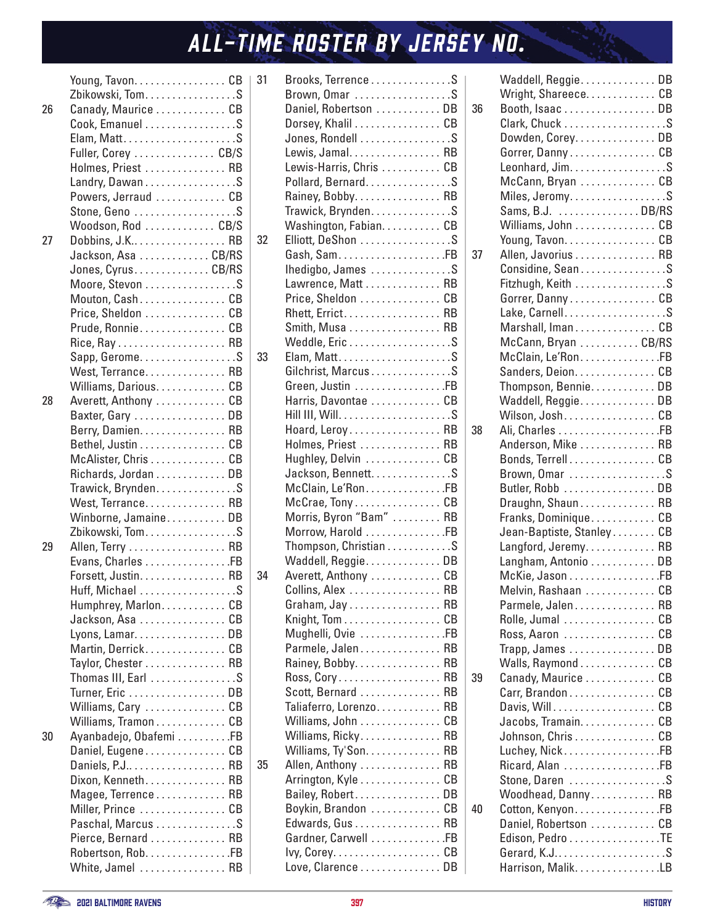|    | Young, Tavon. CB       |    |
|----|------------------------|----|
|    | Zbikowski, Tom. S      |    |
| 26 | Canady, Maurice CB     |    |
|    |                        |    |
|    | Cook, Emanuel S        |    |
|    |                        |    |
|    | Fuller, Corey  CB/S    |    |
|    | Holmes, Priest  RB     |    |
|    | Landry, Dawan S        |    |
|    | Powers, Jerraud CB     |    |
|    | Stone, Geno S          |    |
|    | Woodson, Rod CB/S      |    |
|    |                        |    |
| 27 | Dobbins, J.K RB        |    |
|    | Jackson, Asa CB/RS     |    |
|    | Jones, Cyrus. CB/RS    |    |
|    | Moore, Stevon S        |    |
|    | Mouton, CashCB         |    |
|    | Price, Sheldon  CB     |    |
|    | Prude, Ronnie. CB      |    |
|    |                        |    |
|    | Sapp, GeromeS          |    |
|    | West, Terrance RB      |    |
|    |                        |    |
|    | Williams, Darious. CB  |    |
| 28 | Averett, Anthony  CB   |    |
|    | Baxter, Gary DB        |    |
|    | Berry, Damien. RB      |    |
|    | Bethel, Justin CB      |    |
|    | McAlister, Chris CB    |    |
|    | Richards, Jordan DB    |    |
|    | Trawick, Brynden. S    |    |
|    | West, Terrance RB      |    |
|    | Winborne, JamaineDB    |    |
|    | Zbikowski, Tom. S      |    |
| 29 | Allen, Terry RB        |    |
|    | Evans, Charles FB      |    |
|    | Forsett, Justin. RB    |    |
|    |                        | .S |
|    | Huff, Michael          |    |
|    | Humphrey, Marlon CB    |    |
|    | Jackson, Asa CB        |    |
|    | Lyons, Lamar. DB       |    |
|    | Martin, DerrickCB      |    |
|    | Taylor, Chester RB     |    |
|    | Thomas III, Earl S     |    |
|    | Turner, Eric DB        |    |
|    | Williams, Cary CB      |    |
|    | Williams, Tramon CB    |    |
| 30 | Ayanbadejo, Obafemi FB |    |
|    | Daniel, Eugene CB      |    |
|    | Daniels, P.J RB        |    |
|    | Dixon, Kenneth. RB     |    |
|    |                        |    |
|    | Magee, Terrence RB     |    |
|    | Miller, Prince  CB     |    |
|    | Paschal, Marcus S      |    |
|    | Pierce, Bernard  RB    |    |
|    | Robertson, Rob. FB     |    |
|    | White, Jamel  RB       |    |

| 31 | Brooks, Terrence S      |
|----|-------------------------|
|    |                         |
|    | Brown, Omar S           |
|    | Daniel, Robertson DB    |
|    | Dorsey, Khalil CB       |
|    | Jones, Rondell S        |
|    | Lewis, Jamal. RB        |
|    | Lewis-Harris, Chris  CB |
|    | Pollard, BernardS       |
|    | Rainey, Bobby. RB       |
|    | Trawick, Brynden. S     |
|    | Washington, Fabian. CB  |
| 32 | Elliott, DeShon S       |
|    | Gash, SamFB             |
|    | Ihedigbo, James S       |
|    | Lawrence, Matt RB       |
|    |                         |
|    | Price, Sheldon  CB      |
|    | Rhett, Errict RB        |
|    | Smith, Musa RB          |
|    | Weddle, Eric S          |
| 33 | Elam, MattS             |
|    | Gilchrist, MarcusS      |
|    | Green, Justin FB        |
|    | Harris, Davontae  CB    |
|    |                         |
|    | Hoard, Leroy RB         |
|    | Holmes, Priest  RB      |
|    | Hughley, Delvin  CB     |
|    | Jackson, Bennett. S     |
|    | McClain, Le'Ron. FB     |
|    | McCrae, Tony CB         |
|    | Morris, Byron "Bam"  RB |
|    |                         |
|    | Morrow, Harold FB       |
|    | Thompson, Christian S   |
|    | Waddell, Reggie. DB     |
| 34 | Averett, Anthony  CB    |
|    | Collins Alex <b>RR</b>  |
|    | Graham, Jay RB          |
|    | Knight, Tom CB          |
|    | Mughelli, Ovie FB       |
|    | Parmele, Jalen RB       |
|    | Rainey, Bobby. RB       |
|    | Ross, Cory RB           |
|    | Scott, Bernard  RB      |
|    | Taliaferro, Lorenzo RB  |
|    | Williams, John CB       |
|    | Williams, Ricky RB      |
|    | Williams, Ty'Son. RB    |
| 35 | Allen, Anthony  RB      |
|    | Arrington, Kyle CB      |
|    |                         |
|    | Bailey, Robert. DB      |
|    | Boykin, Brandon  CB     |
|    | Edwards, Gus RB         |
|    | Gardner, Carwell FB     |
|    |                         |
|    | Love, Clarence DB       |

| 36 | Waddell, Reggie. DB<br>Wright, Shareece. CB<br>Booth, Isaac  DB |  |
|----|-----------------------------------------------------------------|--|
|    | Clark, Chuck S                                                  |  |
|    | Dowden, Corey. DB                                               |  |
|    | Gorrer, DannyCB                                                 |  |
|    | Leonhard, Jim. S                                                |  |
|    |                                                                 |  |
|    | McCann, Bryan CB<br>Miles, JeromyS                              |  |
|    | Sams, B.J. DB/RS                                                |  |
|    | Williams, John CB                                               |  |
|    | Young, Tavon. CB                                                |  |
| 37 | Allen, Javorius RB                                              |  |
|    |                                                                 |  |
|    | Considine, SeanS                                                |  |
|    | Fitzhugh, Keith S                                               |  |
|    | Gorrer, DannyCB                                                 |  |
|    | Lake, CarnellS                                                  |  |
|    | Marshall, ImanCB                                                |  |
|    | McCann, Bryan CB/RS                                             |  |
|    | McClain, Le'Ron. FB                                             |  |
|    | Sanders, Deion. CB                                              |  |
|    | Thompson, Bennie. DB                                            |  |
|    | Waddell, Reggie. DB                                             |  |
|    | Wilson, Josh. CB                                                |  |
| 38 |                                                                 |  |
|    | Anderson, Mike RB                                               |  |
|    | Bonds, TerrellCB                                                |  |
|    | Brown, Omar S                                                   |  |
|    | Butler, Robb DB                                                 |  |
|    | Draughn, Shaun RB                                               |  |
|    | Franks, Dominique CB                                            |  |
|    | Jean-Baptiste, Stanley CB                                       |  |
|    | Langford, Jeremy RB                                             |  |
|    | Langham, Antonio DB                                             |  |
|    | McKie, Jason FB                                                 |  |
|    | Melvin, Rashaan  CB                                             |  |
|    | Parmele, Jalen RB                                               |  |
|    | Rolle, Jumal CB                                                 |  |
|    | Ross, Aaron CB                                                  |  |
|    | Trapp, James DB                                                 |  |
|    | Walls, Raymond CB                                               |  |
| 39 | Canady, Maurice  CB                                             |  |
|    | Carr, Brandon CB                                                |  |
|    | Davis, Will. CB                                                 |  |
|    | Jacobs, Tramain. CB                                             |  |
|    | Johnson, Chris CB                                               |  |
|    | Luchey, NickFB                                                  |  |
|    | Ricard, Alan FB                                                 |  |
|    | Stone, Daren S                                                  |  |
|    | Woodhead, Danny RB                                              |  |
| 40 | Cotton, Kenyon. FB                                              |  |
|    | Daniel, Robertson  CB                                           |  |
|    | Edison, Pedro TE                                                |  |
|    | Gerard, K.JS                                                    |  |
|    | Harrison, Malik. LB                                             |  |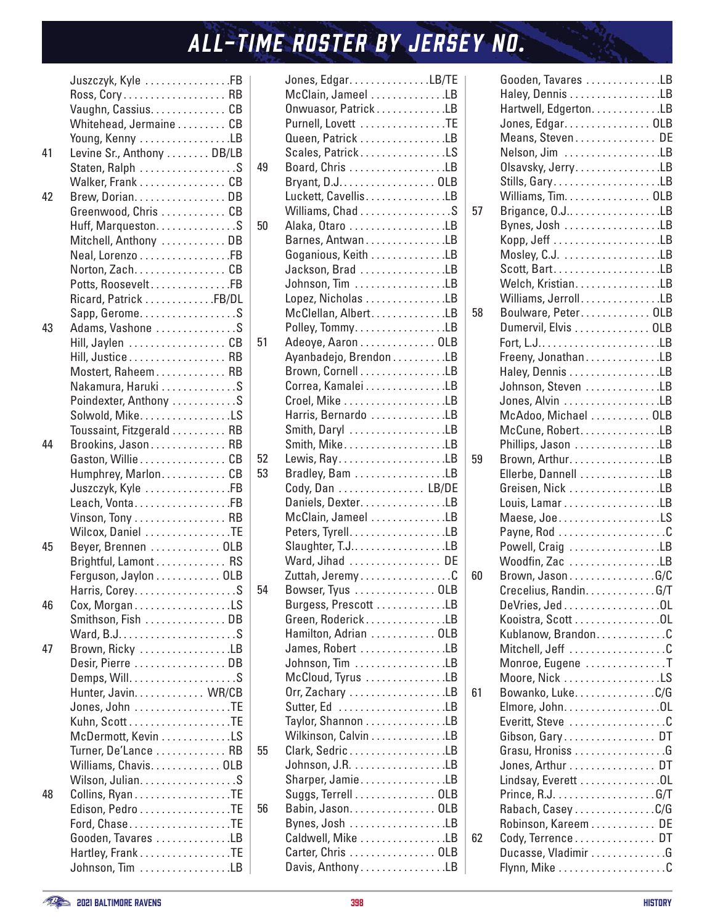|    | Juszczyk, Kyle FB         |  |
|----|---------------------------|--|
|    | Ross, Cory RB             |  |
|    | Vaughn, Cassius. CB       |  |
|    | Whitehead, Jermaine CB    |  |
|    | Young, Kenny LB           |  |
| 41 | Levine Sr., Anthony DB/LB |  |
|    | Staten, Ralph S           |  |
|    |                           |  |
|    | Walker, Frank CB          |  |
| 42 | Brew, Dorian. DB          |  |
|    | Greenwood, Chris  CB      |  |
|    | Huff, Marqueston. S       |  |
|    | Mitchell, Anthony DB      |  |
|    | Neal, Lorenzo FB          |  |
|    | Norton, Zach. CB          |  |
|    | Potts, RooseveltFB        |  |
|    | Ricard, Patrick FB/DL     |  |
|    | Sapp, Gerome. S           |  |
| 43 | Adams, Vashone S          |  |
|    | Hill, Jaylen  CB          |  |
|    | Hill, Justice RB          |  |
|    | Mostert, Raheem RB        |  |
|    | Nakamura, Haruki S        |  |
|    | Poindexter, Anthony S     |  |
|    |                           |  |
|    | Solwold, Mike. LS         |  |
|    | Toussaint, Fitzgerald RB  |  |
| 44 | Brookins, Jason RB        |  |
|    | Gaston, Willie CB         |  |
|    | Humphrey, Marlon CB       |  |
|    | Juszczyk, Kyle FB         |  |
|    | Leach, VontaFB            |  |
|    | Vinson, Tony RB           |  |
|    | Wilcox, Daniel TE         |  |
| 45 | Beyer, Brennen OLB        |  |
|    | Brightful, Lamont RS      |  |
|    | Ferguson, Jaylon OLB      |  |
|    |                           |  |
| 46 | Cox, MorganLS             |  |
|    | Smithson, Fish DB         |  |
|    |                           |  |
| 47 | Brown, Ricky LB           |  |
|    |                           |  |
|    | Desir, Pierre  DB         |  |
|    |                           |  |
|    | Hunter, Javin. WR/CB      |  |
|    | Jones, John TE            |  |
|    |                           |  |
|    | McDermott, Kevin LS       |  |
|    | Turner, De'Lance  RB      |  |
|    | Williams, Chavis. OLB     |  |
|    | Wilson, Julian. S         |  |
| 48 | Collins, Ryan TE          |  |
|    | Edison, Pedro TE          |  |
|    | Ford, ChaseTE             |  |
|    | Gooden, Tavares LB        |  |
|    | Hartley, Frank TE         |  |
|    | Johnson, Tim LB           |  |
|    |                           |  |

|    | Jones, Edgar. LB/TE                     |  |
|----|-----------------------------------------|--|
|    | McClain, Jameel LB                      |  |
|    | Onwuasor, Patrick LB                    |  |
|    | Purnell, Lovett TE                      |  |
|    | Queen, Patrick LB                       |  |
|    | Scales, PatrickLS                       |  |
| 49 | Board, Chris LB                         |  |
|    | Bryant, D.J. 0LB                        |  |
|    | Luckett, CavellisLB                     |  |
|    |                                         |  |
|    | Williams, Chad S                        |  |
| 50 | Alaka, Otaro LB                         |  |
|    | Barnes, AntwanLB                        |  |
|    | Goganious, Keith LB                     |  |
|    | Jackson, Brad LB                        |  |
|    | Johnson, Tim LB                         |  |
|    | Lopez, Nicholas LB                      |  |
|    | McClellan, AlbertLB                     |  |
|    | Polley, TommyLB                         |  |
| 51 | Adeoye, Aaron OLB                       |  |
|    | Ayanbadejo, Brendon LB                  |  |
|    | Brown, Cornell LB                       |  |
|    | Correa, Kamalei LB                      |  |
|    |                                         |  |
|    | Harris, Bernardo LB                     |  |
|    | Smith, Daryl LB                         |  |
|    | Smith, MikeLB                           |  |
| 52 |                                         |  |
| 53 | Bradley, Bam LB                         |  |
|    | Cody, Dan LB/DE                         |  |
|    | Daniels, Dexter. LB                     |  |
|    | McClain, Jameel LB                      |  |
|    | Peters, Tyrell. LB                      |  |
|    | Slaughter, T.JLB                        |  |
|    | Ward, Jihad  DE                         |  |
|    | Zuttah, JeremyC                         |  |
| 54 | Bowser, Tyus OLB                        |  |
|    | Burgess, Prescott LB                    |  |
|    | Green, RoderickLB                       |  |
|    | Hamilton, Adrian  OLB                   |  |
|    | James, Robert LB                        |  |
|    | Johnson, Tim LB                         |  |
|    | McCloud, Tyrus LB                       |  |
|    | Orr, Zachary LB                         |  |
|    | Sutter, Ed LB                           |  |
|    | Taylor, Shannon LB                      |  |
|    |                                         |  |
|    | Wilkinson, Calvin LB<br>Clark, SedricLB |  |
| 55 |                                         |  |
|    |                                         |  |
|    | Sharper, JamieLB                        |  |
|    | Suggs, Terrell OLB                      |  |
| 56 | Babin, Jason. OLB                       |  |
|    | Bynes, Josh LB                          |  |
|    | Caldwell, Mike LB                       |  |
|    | Carter, Chris  OLB                      |  |
|    | Davis, AnthonyLB                        |  |

|    | Gooden, Tavares LB     |    |
|----|------------------------|----|
|    | Haley, Dennis LB       |    |
|    | Hartwell, Edgerton. LB |    |
|    | Jones, Edgar. OLB      |    |
|    | Means, Steven. DE      |    |
|    | Nelson, Jim LB         |    |
|    | Olsavsky, JerryLB      |    |
|    |                        |    |
|    | Williams, Tim. OLB     |    |
| 57 | Brigance, O.J LB       |    |
|    | Bynes, Josh LB         |    |
|    |                        |    |
|    |                        |    |
|    |                        |    |
|    |                        |    |
|    | Welch, Kristian. LB    |    |
|    | Williams, JerrollLB    |    |
| 58 | Boulware, Peter OLB    |    |
|    | Dumervil, Elvis OLB    |    |
|    |                        |    |
|    | Freeny, JonathanLB     |    |
|    | Haley, Dennis LB       |    |
|    | Johnson, Steven LB     |    |
|    | Jones, Alvin LB        |    |
|    | McAdoo, Michael  OLB   |    |
|    | McCune, Robert. LB     |    |
|    | Phillips, Jason LB     |    |
| 59 | Brown, Arthur. LB      |    |
|    | Ellerbe, Dannell LB    |    |
|    | Greisen, Nick LB       |    |
|    | Louis, Lamar LB        |    |
|    | Maese, JoeLS           |    |
|    |                        |    |
|    | Powell, Craig LB       |    |
|    | Woodfin, Zac LB        |    |
| 60 | Brown, JasonG/C        |    |
|    | Crecelius, Randin. G/T |    |
|    | DeVries, Jed OL        |    |
|    | Kooistra, Scott OL     |    |
|    | Kublanow, BrandonC     |    |
|    | Mitchell, Jeff C       |    |
|    | Monroe, Eugene T       |    |
|    | Moore, Nick LS         |    |
| 61 | Bowanko, Luke. C/G     |    |
|    | Elmore, John. 0L       |    |
|    | Everitt, Steve C       |    |
|    |                        |    |
|    | Gibson, GaryDT         |    |
|    | Grasu, Hroniss G       |    |
|    | Jones, Arthur DT       |    |
|    | Lindsay, Everett OL    |    |
|    |                        |    |
|    | Rabach, Casey C/G      |    |
|    | Robinson, Kareem       | DE |
| 62 | Cody, Terrence DT      |    |
|    | Ducasse, Vladimir G    |    |
|    |                        |    |
|    |                        |    |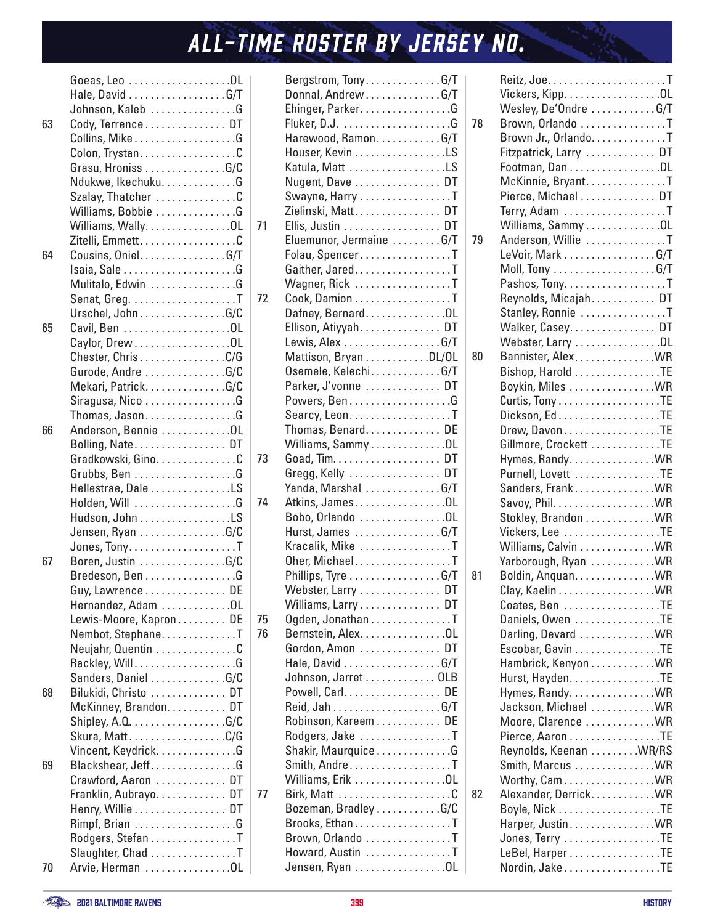|    | Hale, David G/T        |  |
|----|------------------------|--|
|    | Johnson, Kaleb G       |  |
| 63 | Cody, Terrence DT      |  |
|    |                        |  |
|    | Colon, Trystan. C      |  |
|    | Grasu, Hroniss G/C     |  |
|    | Ndukwe, Ikechuku. G    |  |
|    | Szalay, Thatcher C     |  |
|    | Williams, Bobbie G     |  |
|    | Williams, Wally. 0L    |  |
|    | Zitelli, Emmett. C     |  |
| 64 | Cousins, Oniel. G/T    |  |
|    |                        |  |
|    | Mulitalo, Edwin G      |  |
|    |                        |  |
|    | Urschel, JohnG/C       |  |
| 65 |                        |  |
|    |                        |  |
|    | Caylor, Drew OL        |  |
|    | Chester, ChrisC/G      |  |
|    | Gurode, Andre G/C      |  |
|    | Mekari, PatrickG/C     |  |
|    | Siragusa, Nico G       |  |
|    | Thomas, JasonG         |  |
| 66 | Anderson, Bennie OL    |  |
|    | Bolling, Nate DT       |  |
|    | Gradkowski, Gino. C    |  |
|    | Grubbs, Ben G          |  |
|    | Hellestrae, Dale LS    |  |
|    |                        |  |
|    | Hudson, John LS        |  |
|    | Jensen, Ryan G/C       |  |
|    |                        |  |
| 67 | Boren, Justin G/C      |  |
|    | Bredeson, Ben G        |  |
|    | Guy, Lawrence<br>DE    |  |
|    | Hernandez, Adam OL     |  |
|    | Lewis-Moore, Kapron DE |  |
|    | Nembot, StephaneT      |  |
|    | Neujahr, Quentin C     |  |
|    |                        |  |
|    | Sanders, Daniel G/C    |  |
| 68 | Bilukidi, Christo  DT  |  |
|    | McKinney, Brandon. DT  |  |
|    |                        |  |
|    | Skura, MattC/G         |  |
|    | Vincent, KeydrickG     |  |
| 69 | Blackshear, Jeff. G    |  |
|    | Crawford, Aaron  DT    |  |
|    | Franklin, Aubrayo DT   |  |
|    | Henry, Willie DT       |  |
|    |                        |  |
|    | Rodgers, Stefan T      |  |
|    | Slaughter, Chad T      |  |
| 70 | Arvie, Herman OL       |  |
|    |                        |  |

|    | $\mathsf{Bergstrom}, \mathsf{ Tony}, \ldots, \ldots, \mathsf{G/T}$ |    |  |
|----|--------------------------------------------------------------------|----|--|
|    | Donnal, Andrew G/T                                                 |    |  |
|    | Ehinger, Parker. G                                                 |    |  |
|    |                                                                    |    |  |
|    | Harewood, RamonG/T                                                 |    |  |
|    | Houser, Kevin LS                                                   |    |  |
|    | Katula, Matt LS                                                    |    |  |
|    | Nugent, Dave  DT                                                   |    |  |
|    | Swayne, Harry T                                                    |    |  |
|    |                                                                    |    |  |
|    | Zielinski, Matt. DT                                                |    |  |
| 71 | Ellis, Justin DT                                                   |    |  |
|    | Eluemunor, Jermaine G/T                                            |    |  |
|    | Folau, SpencerT                                                    |    |  |
|    | Gaither, Jared. T                                                  |    |  |
|    | Wagner, Rick T                                                     |    |  |
| 72 | Cook, Damion T                                                     |    |  |
|    | Dafney, BernardOL                                                  |    |  |
|    | Ellison, Atiyyah DT                                                |    |  |
|    | Lewis, Alex G/T                                                    |    |  |
|    | Mattison, Bryan DL/OL                                              |    |  |
|    | Osemele, Kelechi. G/T                                              |    |  |
|    | Parker, J'vonne  DT                                                |    |  |
|    | Powers, Ben G                                                      |    |  |
|    | Searcy, Leon. T                                                    |    |  |
|    | Thomas, Benard DE                                                  |    |  |
|    | Williams, Sammy 0L                                                 |    |  |
| 73 |                                                                    |    |  |
|    | Gregg, Kelly  DT                                                   |    |  |
|    | Yanda, Marshal G/T                                                 |    |  |
| 74 | Atkins, James. 0L                                                  |    |  |
|    | Bobo, Orlando OL                                                   |    |  |
|    | Hurst, James G/T                                                   |    |  |
|    | Kracalik, Mike T                                                   |    |  |
|    |                                                                    |    |  |
|    | Oher, MichaelT                                                     |    |  |
|    | Phillips, Tyre G/T                                                 |    |  |
|    | Webster, Larry  DT                                                 |    |  |
|    | Williams, Larry DT                                                 |    |  |
| 75 | Ogden, Jonathan T                                                  |    |  |
| 76 | Bernstein, Alex. OL                                                |    |  |
|    | Gordon, Amon  DT                                                   |    |  |
|    | Hale, David G/T                                                    |    |  |
|    | Johnson, Jarret 0LB                                                |    |  |
|    | Powell, Carl.                                                      | DE |  |
|    |                                                                    |    |  |
|    | Robinson, Kareem DE                                                |    |  |
|    | Rodgers, Jake T                                                    |    |  |
|    | Shakir, Maurquice G                                                |    |  |
|    | Smith, Andre. T                                                    |    |  |
|    | Williams, Erik 0L                                                  |    |  |
| 77 |                                                                    |    |  |
|    | Bozeman, Bradley G/C                                               |    |  |
|    | Brooks, EthanT                                                     |    |  |
|    | Brown, Orlando T                                                   |    |  |
|    | Howard, Austin T                                                   |    |  |
|    | Jensen, Ryan OL                                                    |    |  |
|    |                                                                    |    |  |

|    | Vickers, Kipp. OL      |  |
|----|------------------------|--|
|    | Wesley, De'Ondre G/T   |  |
| 78 | Brown, Orlando T       |  |
|    | Brown Jr., Orlando. T  |  |
|    | Fitzpatrick, Larry  DT |  |
|    | Footman, Dan DL        |  |
|    | McKinnie, Bryant. T    |  |
|    | Pierce, Michael  DT    |  |
|    |                        |  |
|    | Terry, Adam T          |  |
|    | Williams, Sammy OL     |  |
| 79 | Anderson, Willie T     |  |
|    | LeVoir, Mark G/T       |  |
|    |                        |  |
|    | Pashos, Tony. T        |  |
|    | Reynolds, Micajah DT   |  |
|    | Stanley, Ronnie T      |  |
|    | Walker, Casey. DT      |  |
|    | Webster, Larry DL      |  |
| 80 | Bannister, Alex WR     |  |
|    | Bishop, Harold TE      |  |
|    | Boykin, Miles WR       |  |
|    | Curtis, TonyTE         |  |
|    |                        |  |
|    | Drew, DavonTE          |  |
|    | Gillmore, Crockett TE  |  |
|    | Hymes, Randy. WR       |  |
|    | Purnell, Lovett TE     |  |
|    | Sanders, FrankWR       |  |
|    |                        |  |
|    | Stokley, Brandon WR    |  |
|    | Vickers, Lee TE        |  |
|    | Williams, Calvin WR    |  |
|    |                        |  |
|    | Yarborough, Ryan WR    |  |
| 81 | Boldin, Anquan. WR     |  |
|    |                        |  |
|    | Coates, Ben TE         |  |
|    | Daniels, Owen TE       |  |
|    | Darling, Devard WR     |  |
|    | Escobar, Gavin TE      |  |
|    | Hambrick, Kenyon WR    |  |
|    | Hurst, Hayden. TE      |  |
|    | Hymes, Randy. WR       |  |
|    | Jackson, Michael  WR   |  |
|    | Moore, Clarence WR     |  |
|    | Pierce, Aaron TE       |  |
|    | Reynolds, Keenan WR/RS |  |
|    | Smith, Marcus WR       |  |
|    | Worthy, CamWR          |  |
| 82 | Alexander, DerrickWR   |  |
|    |                        |  |
|    | Harper, Justin. WR     |  |
|    | Jones, Terry TE        |  |
|    | LeBel, Harper TE       |  |
|    | Nordin, Jake TE        |  |
|    |                        |  |